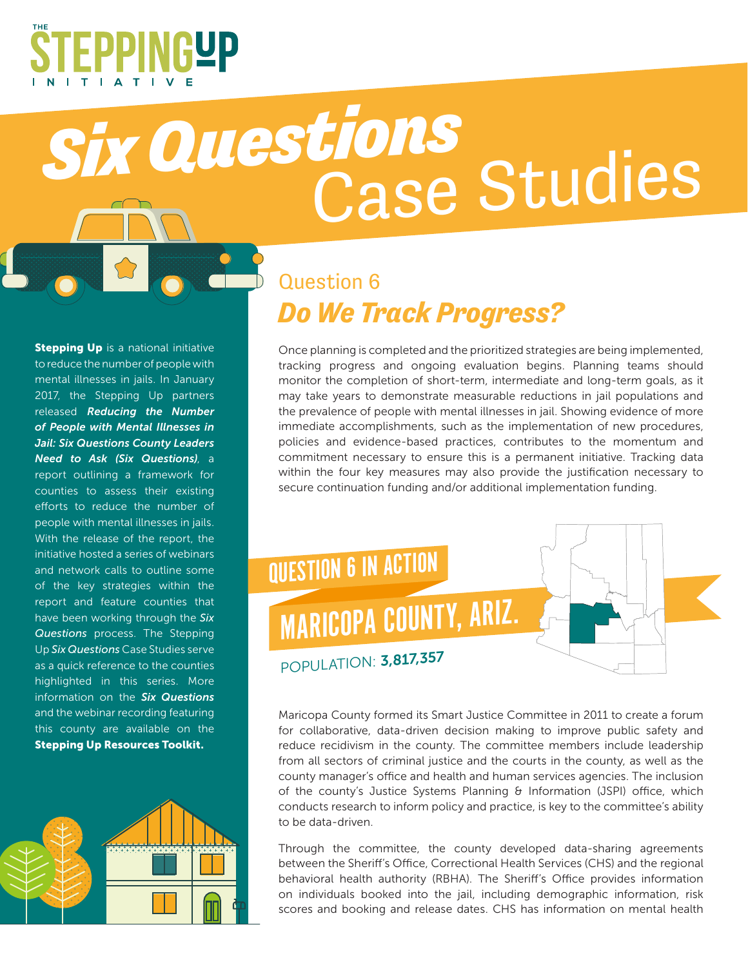

## *Six Questions* Case Studies

## **Stepping Up** is a national initiative to reduce the number of people with mental illnesses in jails. In January 2017, the Stepping Up partners released *Reducing the Number of People with Mental Illnesses in Jail: Six Questions County Leaders Need to Ask (Six Questions)*, a report outlining a framework for counties to assess their existing efforts to reduce the number of people with mental illnesses in jails. With the release of the report, the initiative hosted a series of webinars and network calls to outline some of the key strategies within the report and feature counties that have been working through the *Six Questions* process. The Stepping Up *Six Questions* Case Studies serve as a quick reference to the counties highlighted in this series. More information on the *Six Questions*  and the webinar recording featuring this county are available on the Stepping Up Resources Toolkit.



## Question 6 *Do We Track Progress?*

Once planning is completed and the prioritized strategies are being implemented, tracking progress and ongoing evaluation begins. Planning teams should monitor the completion of short-term, intermediate and long-term goals, as it may take years to demonstrate measurable reductions in jail populations and the prevalence of people with mental illnesses in jail. Showing evidence of more immediate accomplishments, such as the implementation of new procedures, policies and evidence-based practices, contributes to the momentum and commitment necessary to ensure this is a permanent initiative. Tracking data within the four key measures may also provide the justification necessary to secure continuation funding and/or additional implementation funding.



Maricopa County formed its Smart Justice Committee in 2011 to create a forum for collaborative, data-driven decision making to improve public safety and reduce recidivism in the county. The committee members include leadership from all sectors of criminal justice and the courts in the county, as well as the county manager's office and health and human services agencies. The inclusion of the county's Justice Systems Planning & Information (JSPI) office, which conducts research to inform policy and practice, is key to the committee's ability to be data-driven.

Through the committee, the county developed data-sharing agreements between the Sheriff's Office, Correctional Health Services (CHS) and the regional behavioral health authority (RBHA). The Sheriff's Office provides information on individuals booked into the jail, including demographic information, risk scores and booking and release dates. CHS has information on mental health